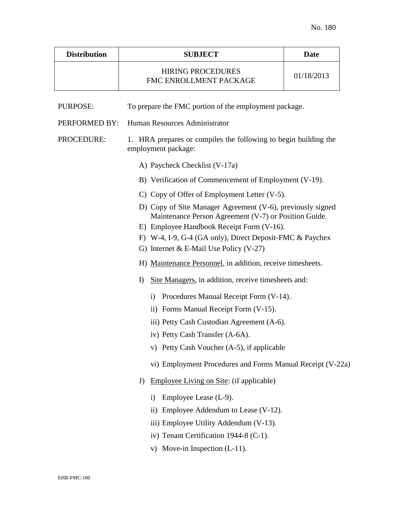| <b>Distribution</b> | <b>SUBJECT</b>                                                                                                                                                                                                                                                                                                                                                                                                                                                                                   | <b>Date</b> |
|---------------------|--------------------------------------------------------------------------------------------------------------------------------------------------------------------------------------------------------------------------------------------------------------------------------------------------------------------------------------------------------------------------------------------------------------------------------------------------------------------------------------------------|-------------|
|                     | <b>HIRING PROCEDURES</b><br>FMC ENROLLMENT PACKAGE                                                                                                                                                                                                                                                                                                                                                                                                                                               | 01/18/2013  |
| PURPOSE:            | To prepare the FMC portion of the employment package.                                                                                                                                                                                                                                                                                                                                                                                                                                            |             |
| PERFORMED BY:       | Human Resources Administrator                                                                                                                                                                                                                                                                                                                                                                                                                                                                    |             |
| PROCEDURE:          | 1. HRA prepares or compiles the following to begin building the<br>employment package:                                                                                                                                                                                                                                                                                                                                                                                                           |             |
|                     | A) Paycheck Checklist (V-17a)                                                                                                                                                                                                                                                                                                                                                                                                                                                                    |             |
|                     | B) Verification of Commencement of Employment (V-19).                                                                                                                                                                                                                                                                                                                                                                                                                                            |             |
|                     | C) Copy of Offer of Employment Letter (V-5).                                                                                                                                                                                                                                                                                                                                                                                                                                                     |             |
|                     | D) Copy of Site Manager Agreement (V-6), previously signed<br>Maintenance Person Agreement (V-7) or Position Guide.<br>E) Employee Handbook Receipt Form (V-16).<br>F) W-4, I-9, G-4 (GA only), Direct Deposit-FMC & Paychex<br>G) Internet & E-Mail Use Policy (V-27)<br>H) Maintenance Personnel, in addition, receive timesheets.<br>Site Managers, in addition, receive timesheets and:<br>I)<br>Procedures Manual Receipt Form (V-14).<br>$\rm i)$<br>ii) Forms Manual Receipt Form (V-15). |             |
|                     | iii) Petty Cash Custodian Agreement (A-6).<br>iv) Petty Cash Transfer (A-6A).                                                                                                                                                                                                                                                                                                                                                                                                                    |             |
|                     | v) Petty Cash Voucher (A-5), if applicable                                                                                                                                                                                                                                                                                                                                                                                                                                                       |             |
|                     | vi) Employment Procedures and Forms Manual Receipt (V-22a)                                                                                                                                                                                                                                                                                                                                                                                                                                       |             |
|                     | <b>Employee Living on Site:</b> (if applicable)<br>J)                                                                                                                                                                                                                                                                                                                                                                                                                                            |             |
|                     | Employee Lease (L-9).<br>$\bf{1)}$<br>Employee Addendum to Lease (V-12).<br>$\rm ii)$<br>iii) Employee Utility Addendum (V-13).<br>iv) Tenant Certification 1944-8 (C-1).<br>v) Move-in Inspection $(L-11)$ .                                                                                                                                                                                                                                                                                    |             |